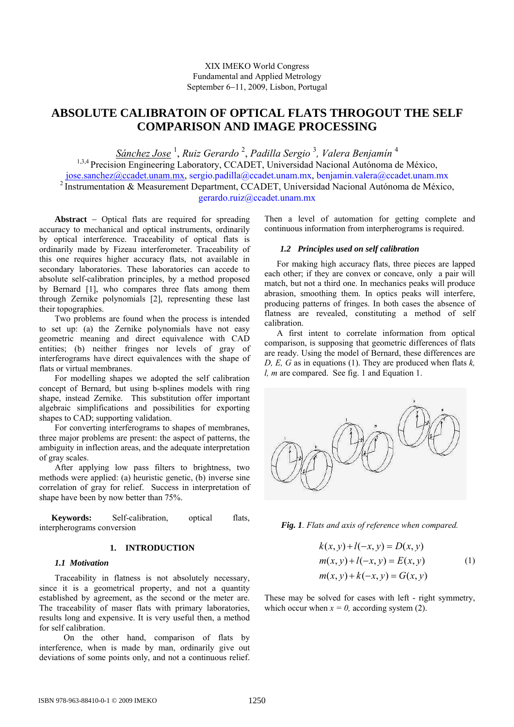# **ABSOLUTE CALIBRATOIN OF OPTICAL FLATS THROGOUT THE SELF COMPARISON AND IMAGE PROCESSING**

*Sánchez Jose* <sup>1</sup> , *Ruiz Gerardo* <sup>2</sup> , *Padilla Sergio* <sup>3</sup> *, Valera Benjamín* <sup>4</sup> <sup>1,3,4</sup> Precision Engineering Laboratory, CCADET, Universidad Nacional Autónoma de México, jose.sanchez@ccadet.unam.mx, sergio.padilla@ccadet.unam.mx, benjamin.valera@ccadet.unam.mx <sup>2</sup> Instrumentation & Measurement Department, CCADET, Universidad Nacional Autónoma de México,

gerardo.ruiz@ccadet.unam.mx

**Abstract** − Optical flats are required for spreading accuracy to mechanical and optical instruments, ordinarily by optical interference. Traceability of optical flats is ordinarily made by Fizeau interferometer. Traceability of this one requires higher accuracy flats, not available in secondary laboratories. These laboratories can accede to absolute self-calibration principles, by a method proposed by Bernard [1], who compares three flats among them through Zernike polynomials [2], representing these last their topographies.

Two problems are found when the process is intended to set up: (a) the Zernike polynomials have not easy geometric meaning and direct equivalence with CAD entities; (b) neither fringes nor levels of gray of interferograms have direct equivalences with the shape of flats or virtual membranes.

For modelling shapes we adopted the self calibration concept of Bernard, but using b-splines models with ring shape, instead Zernike. This substitution offer important algebraic simplifications and possibilities for exporting shapes to CAD; supporting validation.

For converting interferograms to shapes of membranes, three major problems are present: the aspect of patterns, the ambiguity in inflection areas, and the adequate interpretation of gray scales.

After applying low pass filters to brightness, two methods were applied: (a) heuristic genetic, (b) inverse sine correlation of gray for relief. Success in interpretation of shape have been by now better than 75%.

**Keywords:** Self-calibration, optical flats, interpherograms conversion

# **1. INTRODUCTION**

# *1.1 Motivation*

Traceability in flatness is not absolutely necessary, since it is a geometrical property, and not a quantity established by agreement, as the second or the meter are. The traceability of maser flats with primary laboratories, results long and expensive. It is very useful then, a method for self calibration.

 On the other hand, comparison of flats by interference, when is made by man, ordinarily give out deviations of some points only, and not a continuous relief.

Then a level of automation for getting complete and continuous information from interpherograms is required.

# *1.2 Principles used on self calibration*

For making high accuracy flats, three pieces are lapped each other; if they are convex or concave, only a pair will match, but not a third one. In mechanics peaks will produce abrasion, smoothing them. In optics peaks will interfere, producing patterns of fringes. In both cases the absence of flatness are revealed, constituting a method of self calibration.

A first intent to correlate information from optical comparison, is supposing that geometric differences of flats are ready. Using the model of Bernard, these differences are *D, E, G* as in equations (1). They are produced when flats *k, l, m* are compared. See fig. 1 and Equation 1.



*Fig. 1. Flats and axis of reference when compared.* 

$$
k(x, y) + l(-x, y) = D(x, y)
$$
  
\n
$$
m(x, y) + l(-x, y) = E(x, y)
$$
  
\n
$$
m(x, y) + k(-x, y) = G(x, y)
$$
\n(1)

These may be solved for cases with left - right symmetry, which occur when  $x = 0$ , according system (2).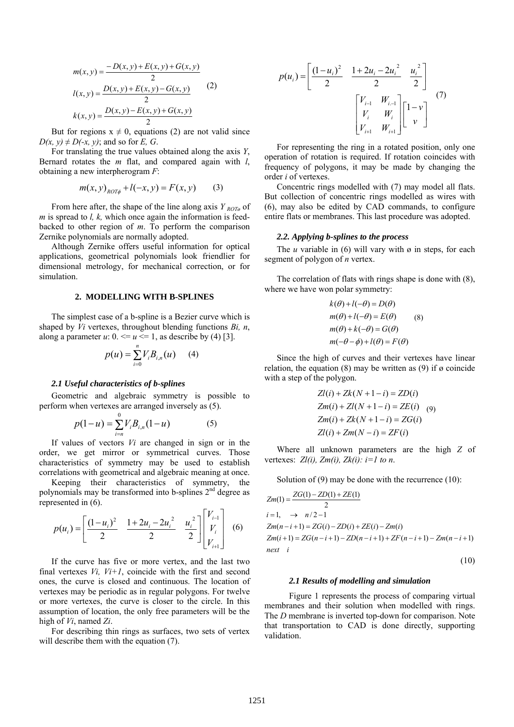$$
m(x, y) = \frac{-D(x, y) + E(x, y) + G(x, y)}{2}
$$
  
\n
$$
l(x, y) = \frac{D(x, y) + E(x, y) - G(x, y)}{2}
$$
 (2)  
\n
$$
k(x, y) = \frac{D(x, y) - E(x, y) + G(x, y)}{2}
$$

But for regions  $x \neq 0$ , equations (2) are not valid since  $D(x, y) \neq D(-x, y)$ ; and so for *E*, *G*.

For translating the true values obtained along the axis *Y*, Bernard rotates the *m* flat, and compared again with *l*, obtaining a new interpherogram *F*:

$$
m(x, y)_{ROT\phi} + l(-x, y) = F(x, y)
$$
 (3)

From here after, the shape of the line along axis *Y ROT*<sup>*n*</sup> of *m* is spread to *l, k,* which once again the information is feedbacked to other region of *m*. To perform the comparison Zernike polynomials are normally adopted.

Although Zernike offers useful information for optical applications, geometrical polynomials look friendlier for dimensional metrology, for mechanical correction, or for simulation.

### **2. MODELLING WITH B-SPLINES**

The simplest case of a b-spline is a Bezier curve which is shaped by *Vi* vertexes, throughout blending functions *Bi, n*, along a parameter  $u: 0 \le u \le 1$ , as describe by (4) [3].

*n*

$$
p(u) = \sum_{i=0} V_i B_{i,n}(u) \qquad (4)
$$

#### *2.1 Useful characteristics of b-splines*

Geometric and algebraic symmetry is possible to perform when vertexes are arranged inversely as (5).

$$
p(1-u) = \sum_{i=n}^{0} V_i B_{i,n}(1-u)
$$
 (5)

 If values of vectors *Vi* are changed in sign or in the order, we get mirror or symmetrical curves. Those characteristics of symmetry may be used to establish correlations with geometrical and algebraic meaning at once.

Keeping their characteristics of symmetry, the polynomials may be transformed into b-splines  $2<sup>nd</sup>$  degree as represented in (6).

$$
p(u_i) = \begin{bmatrix} \frac{(1 - u_i)^2}{2} & \frac{1 + 2u_i - 2u_i^2}{2} & \frac{u_i^2}{2} \end{bmatrix} \begin{bmatrix} V_{i-1} \\ V_i \\ V_{i+1} \end{bmatrix}
$$
 (6)

If the curve has five or more vertex, and the last two final vertexes  $Vi$ ,  $Vi+1$ , coincide with the first and second ones, the curve is closed and continuous. The location of vertexes may be periodic as in regular polygons. For twelve or more vertexes, the curve is closer to the circle. In this assumption of location, the only free parameters will be the high of *Vi*, named *Zi*.

 For describing thin rings as surfaces, two sets of vertex will describe them with the equation (7).

$$
p(u_i) = \begin{bmatrix} \frac{(1 - u_i)^2}{2} & \frac{1 + 2u_i - 2u_i^2}{2} & \frac{u_i^2}{2} \\ & & \frac{V_{i-1}}{2} & \frac{W_{i-1}}{W_i} \\ V_i & W_i & V_{i+1} \end{bmatrix} \begin{bmatrix} 1 - v \\ v \end{bmatrix}
$$
 (7)

For representing the ring in a rotated position, only one operation of rotation is required. If rotation coincides with frequency of polygons, it may be made by changing the order *i* of vertexes.

Concentric rings modelled with (7) may model all flats. But collection of concentric rings modelled as wires with (6), may also be edited by CAD commands, to configure entire flats or membranes. This last procedure was adopted.

#### *2.2. Applying b-splines to the process*

The *u* variable in (6) will vary with  $\varnothing$  in steps, for each segment of polygon of *n* vertex.

The correlation of flats with rings shape is done with (8), where we have won polar symmetry:

$$
k(\theta) + l(-\theta) = D(\theta)
$$
  
\n
$$
m(\theta) + l(-\theta) = E(\theta)
$$
 (8)  
\n
$$
m(\theta) + k(-\theta) = G(\theta)
$$
  
\n
$$
m(-\theta - \phi) + l(\theta) = F(\theta)
$$

Since the high of curves and their vertexes have linear relation, the equation (8) may be written as (9) if  $\varnothing$  coincide with a step of the polygon.

$$
Zl(i) + Zk(N + 1 - i) = ZD(i)
$$
  
\n
$$
Zm(i) + Zl(N + 1 - i) = ZE(i)
$$
 (9)  
\n
$$
Zm(i) + Zk(N + 1 - i) = ZG(i)
$$
  
\n
$$
Zl(i) + Zm(N - i) = ZF(i)
$$

Where all unknown parameters are the high *Z* of vertexes:  $Zl(i)$ ,  $Zm(i)$ ,  $Zk(i)$ :  $i=1$  to n.

Solution of (9) may be done with the recurrence (10):

$$
Zm(1) = \frac{ZG(1) - ZD(1) + ZE(1)}{2}
$$
  
\n $i = 1, \rightarrow n/2 - 1$   
\n
$$
Zm(n - i + 1) = ZG(i) - ZD(i) + ZE(i) - Zm(i)
$$
  
\n
$$
Zm(i + 1) = ZG(n - i + 1) - ZD(n - i + 1) + ZF(n - i + 1) - Zm(n - i + 1)
$$
  
\nnext *i* (10)

#### *2.1 Results of modelling and simulation*

 Figure 1 represents the process of comparing virtual membranes and their solution when modelled with rings. The *D* membrane is inverted top-down for comparison. Note that transportation to CAD is done directly, supporting validation.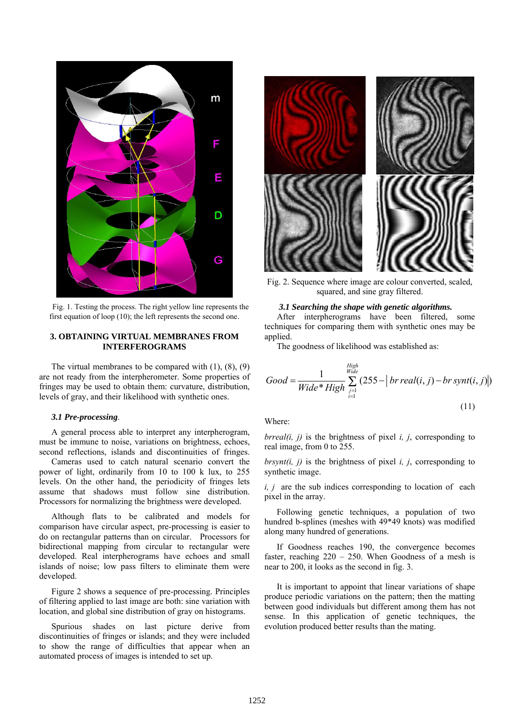

Fig. 1. Testing the process. The right yellow line represents the first equation of loop (10); the left represents the second one.

## **3. OBTAINING VIRTUAL MEMBRANES FROM INTERFEROGRAMS**

The virtual membranes to be compared with  $(1)$ ,  $(8)$ ,  $(9)$ are not ready from the interpherometer. Some properties of fringes may be used to obtain them: curvature, distribution, levels of gray, and their likelihood with synthetic ones.

#### *3.1 Pre-processing*.

A general process able to interpret any interpherogram, must be immune to noise, variations on brightness, echoes, second reflections, islands and discontinuities of fringes.

 Cameras used to catch natural scenario convert the power of light, ordinarily from 10 to 100 k lux, to 255 levels. On the other hand, the periodicity of fringes lets assume that shadows must follow sine distribution. Processors for normalizing the brightness were developed.

Although flats to be calibrated and models for comparison have circular aspect, pre-processing is easier to do on rectangular patterns than on circular. Processors for bidirectional mapping from circular to rectangular were developed. Real interpherograms have echoes and small islands of noise; low pass filters to eliminate them were developed.

Figure 2 shows a sequence of pre-processing. Principles of filtering applied to last image are both: sine variation with location, and global sine distribution of gray on histograms.

Spurious shades on last picture derive from discontinuities of fringes or islands; and they were included to show the range of difficulties that appear when an automated process of images is intended to set up.



Fig. 2. Sequence where image are colour converted, scaled, squared, and sine gray filtered.

#### *3.1 Searching the shape with genetic algorithms.*

After interpherograms have been filtered, some techniques for comparing them with synthetic ones may be applied.

The goodness of likelihood was established as:

$$
Good = \frac{1}{Wide*High} \sum_{\substack{j=1 \ i \neq j}}^{High} (255 - |brreal(i,j) - brsynt(i,j)|)
$$
\n(11)

# Where:

*brreal(i, j)* is the brightness of pixel *i, j*, corresponding to real image, from 0 to 255.

*brsynt(i, j)* is the brightness of pixel *i, j*, corresponding to synthetic image.

*i, j* are the sub indices corresponding to location of each pixel in the array.

 Following genetic techniques, a population of two hundred b-splines (meshes with 49\*49 knots) was modified along many hundred of generations.

If Goodness reaches 190, the convergence becomes faster, reaching  $220 - 250$ . When Goodness of a mesh is near to 200, it looks as the second in fig. 3.

It is important to appoint that linear variations of shape produce periodic variations on the pattern; then the matting between good individuals but different among them has not sense. In this application of genetic techniques, the evolution produced better results than the mating.